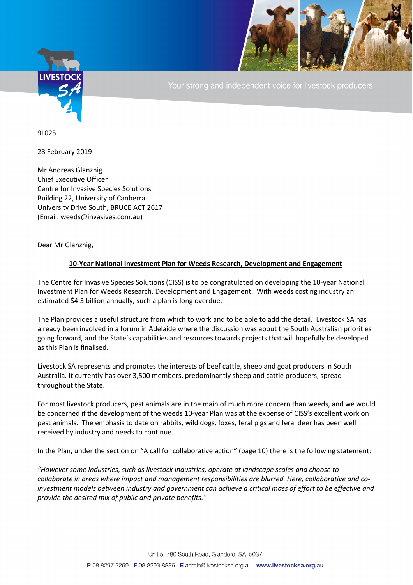

Your strong and independent voice for livestock producers

9L025

28 February 2019

Mr Andreas Glanznig Chief Executive Officer Centre for Invasive Species Solutions Building 22, University of Canberra University Drive South, BRUCE ACT 2617 (Email: weeds@invasives.com.au)

Dear Mr Glanznig,

## **10-Year National Investment Plan for Weeds Research, Development and Engagement**

The Centre for Invasive Species Solutions (CISS) is to be congratulated on developing the 10-year National Investment Plan for Weeds Research, Development and Engagement. With weeds costing industry an estimated \$4.3 billion annually, such a plan is long overdue.

The Plan provides a useful structure from which to work and to be able to add the detail. Livestock SA has already been involved in a forum in Adelaide where the discussion was about the South Australian priorities going forward, and the State's capabilities and resources towards projects that will hopefully be developed as this Plan is finalised.

Livestock SA represents and promotes the interests of beef cattle, sheep and goat producers in South Australia. It currently has over 3,500 members, predominantly sheep and cattle producers, spread throughout the State.

For most livestock producers, pest animals are in the main of much more concern than weeds, and we would be concerned if the development of the weeds 10-year Plan was at the expense of CISS's excellent work on pest animals. The emphasis to date on rabbits, wild dogs, foxes, feral pigs and feral deer has been well received by industry and needs to continue.

In the Plan, under the section on "A call for collaborative action" (page 10) there is the following statement:

*"However some industries, such as livestock industries, operate at landscape scales and choose to collaborate in areas where impact and management responsibilities are blurred. Here, collaborative and coinvestment models between industry and government can achieve a critical mass of effort to be effective and provide the desired mix of public and private benefits."*